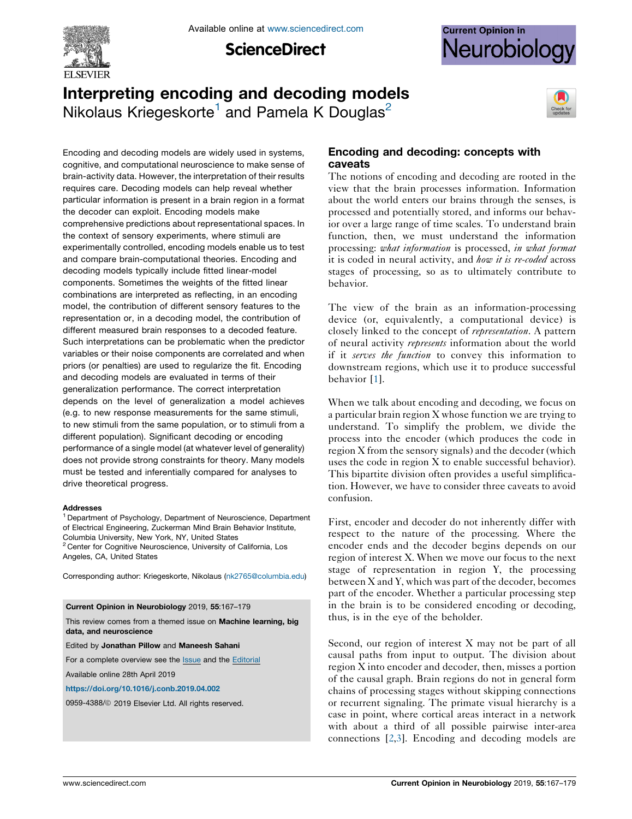

**ScienceDirect** 



# Interpreting encoding and decoding models Nikolaus Kriegeskorte<sup>1</sup> and Pamela K Douglas<sup>2</sup>



Encoding and decoding models are widely used in systems, cognitive, and computational neuroscience to make sense of brain-activity data. However, the interpretation of their results requires care. Decoding models can help reveal whether particular information is present in a brain region in a format the decoder can exploit. Encoding models make comprehensive predictions about representational spaces. In the context of sensory experiments, where stimuli are experimentally controlled, encoding models enable us to test and compare brain-computational theories. Encoding and decoding models typically include fitted linear-model components. Sometimes the weights of the fitted linear combinations are interpreted as reflecting, in an encoding model, the contribution of different sensory features to the representation or, in a decoding model, the contribution of different measured brain responses to a decoded feature. Such interpretations can be problematic when the predictor variables or their noise components are correlated and when priors (or penalties) are used to regularize the fit. Encoding and decoding models are evaluated in terms of their generalization performance. The correct interpretation depends on the level of generalization a model achieves (e.g. to new response measurements for the same stimuli, to new stimuli from the same population, or to stimuli from a different population). Significant decoding or encoding performance of a single model (at whatever level of generality) does not provide strong constraints for theory. Many models must be tested and inferentially compared for analyses to drive theoretical progress.

#### Addresses

<sup>1</sup> Department of Psychology, Department of Neuroscience, Department of Electrical Engineering, Zuckerman Mind Brain Behavior Institute, Columbia University, New York, NY, United States <sup>2</sup> Center for Cognitive Neuroscience, University of California, Los Angeles, CA, United States

Corresponding author: Kriegeskorte, Nikolaus [\(nk2765@columbia.edu](mailto:nk2765@columbia.edu))

Current Opinion in Neurobiology 2019, 55:167–179

This review comes from a themed issue on Machine learning, big data, and neuroscience

Edited by Jonathan Pillow and Maneesh Sahani

For a complete overview see the **[Issue](http://www.sciencedirect.com/science/journal/09594388/55)** and the [Editorial](https://doi.org/10.1016/j.conb.2019.05.002)

Available online 28th April 2019

<https://doi.org/10.1016/j.conb.2019.04.002>

0959-4388/@ 2019 Elsevier Ltd. All rights reserved.

# Encoding and decoding: concepts with caveats

The notions of encoding and decoding are rooted in the view that the brain processes information. Information about the world enters our brains through the senses, is processed and potentially stored, and informs our behavior over a large range of time scales. To understand brain function, then, we must understand the information processing: what information is processed, in what format it is coded in neural activity, and how it is re-coded across stages of processing, so as to ultimately contribute to behavior.

The view of the brain as an information-processing device (or, equivalently, a computational device) is closely linked to the concept of *representation*. A pattern of neural activity *represents* information about the world if it serves the function to convey this information to downstream regions, which use it to produce successful behavior [\[1](#page-10-0)].

When we talk about encoding and decoding, we focus on a particular brain region X whose function we are trying to understand. To simplify the problem, we divide the process into the encoder (which produces the code in region X from the sensory signals) and the decoder (which uses the code in region X to enable successful behavior). This bipartite division often provides a useful simplification. However, we have to consider three caveats to avoid confusion.

First, encoder and decoder do not inherently differ with respect to the nature of the processing. Where the encoder ends and the decoder begins depends on our region of interest X. When we move our focus to the next stage of representation in region Y, the processing between X and Y, which was part of the decoder, becomes part of the encoder. Whether a particular processing step in the brain is to be considered encoding or decoding, thus, is in the eye of the beholder.

Second, our region of interest X may not be part of all causal paths from input to output. The division about region X into encoder and decoder, then, misses a portion of the causal graph. Brain regions do not in general form chains of processing stages without skipping connections or recurrent signaling. The primate visual hierarchy is a case in point, where cortical areas interact in a network with about a third of all possible pairwise inter-area connections [[2,3](#page-10-0)]. Encoding and decoding models are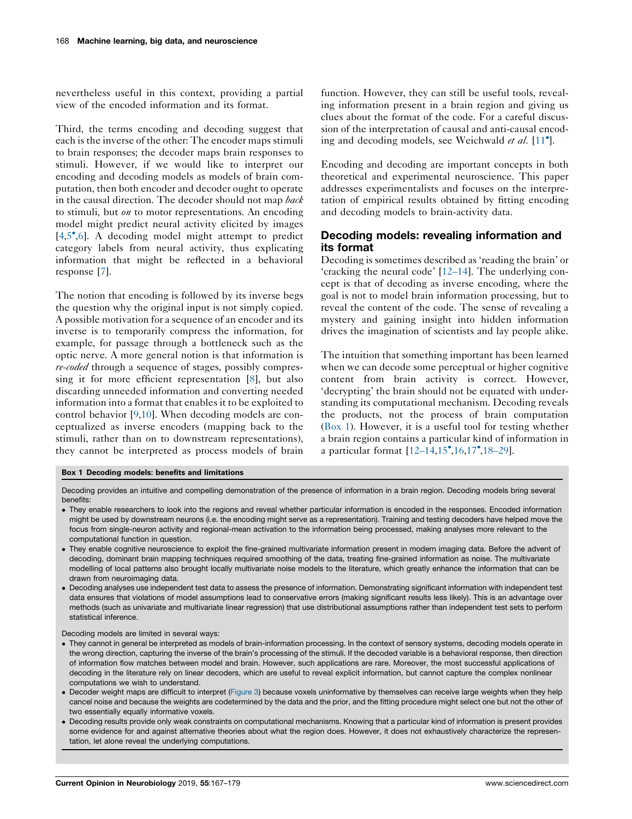nevertheless useful in this context, providing a partial view of the encoded information and its format.

Third, the terms encoding and decoding suggest that each is the inverse of the other: The encoder maps stimuli to brain responses; the decoder maps brain responses to stimuli. However, if we would like to interpret our encoding and decoding models as models of brain computation, then both encoder and decoder ought to operate in the causal direction. The decoder should not map back to stimuli, but *on* to motor representations. An encoding model might predict neural activity elicited by images [\[4](#page-10-0),[5](#page-10-0)<sup>\*</sup>,[6\]](#page-10-0). A decoding model might attempt to predict category labels from neural activity, thus explicating information that might be reflected in a behavioral response [[7\]](#page-10-0).

The notion that encoding is followed by its inverse begs the question why the original input is not simply copied. A possible motivation for a sequence of an encoder and its inverse is to temporarily compress the information, for example, for passage through a bottleneck such as the optic nerve. A more general notion is that information is re-coded through a sequence of stages, possibly compres-sing it for more efficient representation [[8](#page-10-0)], but also discarding unneeded information and converting needed information into a format that enables it to be exploited to control behavior [\[9](#page-10-0),[10\]](#page-10-0). When decoding models are conceptualized as inverse encoders (mapping back to the stimuli, rather than on to downstream representations), they cannot be interpreted as process models of brain

function. However, they can still be useful tools, revealing information present in a brain region and giving us clues about the format of the code. For a careful discussion of the interpretation of causal and anti-causal encod-ing and decoding models, see Weichwald et al. [[11](#page-10-0)°].

Encoding and decoding are important concepts in both theoretical and experimental neuroscience. This paper addresses experimentalists and focuses on the interpretation of empirical results obtained by fitting encoding and decoding models to brain-activity data.

# Decoding models: revealing information and its format

Decoding is sometimes described as 'reading the brain' or 'cracking the neural code' [[12–14\]](#page-11-0). The underlying concept is that of decoding as inverse encoding, where the goal is not to model brain information processing, but to reveal the content of the code. The sense of revealing a mystery and gaining insight into hidden information drives the imagination of scientists and lay people alike.

The intuition that something important has been learned when we can decode some perceptual or higher cognitive content from brain activity is correct. However, 'decrypting' the brain should not be equated with understanding its computational mechanism. Decoding reveals the products, not the process of brain computation (Box 1). However, it is a useful tool for testing whether a brain region contains a particular kind of information in a particular format [[12–14,15](#page-11-0) ,[16,17](#page-11-0) [,18–29](#page-11-0)].

#### Box 1 Decoding models: benefits and limitations

Decoding provides an intuitive and compelling demonstration of the presence of information in a brain region. Decoding models bring several benefits:

- They enable researchers to look into the regions and reveal whether particular information is encoded in the responses. Encoded information might be used by downstream neurons (i.e. the encoding might serve as a representation). Training and testing decoders have helped move the focus from single-neuron activity and regional-mean activation to the information being processed, making analyses more relevant to the computational function in question.
- They enable cognitive neuroscience to exploit the fine-grained multivariate information present in modern imaging data. Before the advent of decoding, dominant brain mapping techniques required smoothing of the data, treating fine-grained information as noise. The multivariate modelling of local patterns also brought locally multivariate noise models to the literature, which greatly enhance the information that can be drawn from neuroimaging data.
- Decoding analyses use independent test data to assess the presence of information. Demonstrating significant information with independent test data ensures that violations of model assumptions lead to conservative errors (making significant results less likely). This is an advantage over methods (such as univariate and multivariate linear regression) that use distributional assumptions rather than independent test sets to perform statistical inference.

Decoding models are limited in several ways:

- They cannot in general be interpreted as models of brain-information processing. In the context of sensory systems, decoding models operate in the wrong direction, capturing the inverse of the brain's processing of the stimuli. If the decoded variable is a behavioral response, then direction of information flow matches between model and brain. However, such applications are rare. Moreover, the most successful applications of decoding in the literature rely on linear decoders, which are useful to reveal explicit information, but cannot capture the complex nonlinear computations we wish to understand.
- Decoder weight maps are difficult to interpret [\(Figure](#page-9-0) 3) because voxels uninformative by themselves can receive large weights when they help cancel noise and because the weights are codetermined by the data and the prior, and the fitting procedure might select one but not the other of two essentially equally informative voxels.
- Decoding results provide only weak constraints on computational mechanisms. Knowing that a particular kind of information is present provides some evidence for and against alternative theories about what the region does. However, it does not exhaustively characterize the representation, let alone reveal the underlying computations.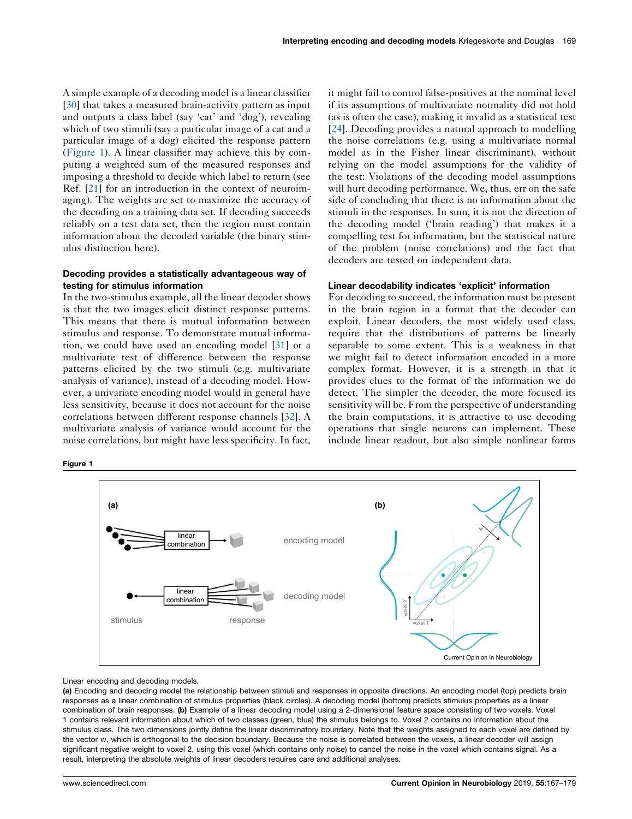<span id="page-2-0"></span>A simple example of a decoding model is a linear classifier [\[30](#page-11-0)] that takes a measured brain-activity pattern as input and outputs a class label (say 'cat' and 'dog'), revealing which of two stimuli (say a particular image of a cat and a particular image of a dog) elicited the response pattern (Figure 1). A linear classifier may achieve this by computing a weighted sum of the measured responses and imposing a threshold to decide which label to return (see Ref. [[21\]](#page-11-0) for an introduction in the context of neuroimaging). The weights are set to maximize the accuracy of the decoding on a training data set. If decoding succeeds reliably on a test data set, then the region must contain information about the decoded variable (the binary stimulus distinction here).

## Decoding provides a statistically advantageous way of testing for stimulus information

In the two-stimulus example, all the linear decoder shows is that the two images elicit distinct response patterns. This means that there is mutual information between stimulus and response. To demonstrate mutual information, we could have used an encoding model [[31\]](#page-11-0) or a multivariate test of difference between the response patterns elicited by the two stimuli (e.g. multivariate analysis of variance), instead of a decoding model. However, a univariate encoding model would in general have less sensitivity, because it does not account for the noise correlations between different response channels [[32\]](#page-11-0). A multivariate analysis of variance would account for the noise correlations, but might have less specificity. In fact,

Figure 1

it might fail to control false-positives at the nominal level if its assumptions of multivariate normality did not hold (as is often the case), making it invalid as a statistical test [[24](#page-11-0)]. Decoding provides a natural approach to modelling the noise correlations (e.g. using a multivariate normal model as in the Fisher linear discriminant), without relying on the model assumptions for the validity of the test: Violations of the decoding model assumptions will hurt decoding performance. We, thus, err on the safe side of concluding that there is no information about the stimuli in the responses. In sum, it is not the direction of the decoding model ('brain reading') that makes it a compelling test for information, but the statistical nature of the problem (noise correlations) and the fact that decoders are tested on independent data.

#### Linear decodability indicates 'explicit' information

For decoding to succeed, the information must be present in the brain region in a format that the decoder can exploit. Linear decoders, the most widely used class, require that the distributions of patterns be linearly separable to some extent. This is a weakness in that we might fail to detect information encoded in a more complex format. However, it is a strength in that it provides clues to the format of the information we do detect. The simpler the decoder, the more focused its sensitivity will be. From the perspective of understanding the brain computations, it is attractive to use decoding operations that single neurons can implement. These include linear readout, but also simple nonlinear forms



#### Linear encoding and decoding models.

(a) Encoding and decoding model the relationship between stimuli and responses in opposite directions. An encoding model (top) predicts brain responses as a linear combination of stimulus properties (black circles). A decoding model (bottom) predicts stimulus properties as a linear combination of brain responses. (b) Example of a linear decoding model using a 2-dimensional feature space consisting of two voxels. Voxel 1 contains relevant information about which of two classes (green, blue) the stimulus belongs to. Voxel 2 contains no information about the stimulus class. The two dimensions jointly define the linear discriminatory boundary. Note that the weights assigned to each voxel are defined by the vector w, which is orthogonal to the decision boundary. Because the noise is correlated between the voxels, a linear decoder will assign significant negative weight to voxel 2, using this voxel (which contains only noise) to cancel the noise in the voxel which contains signal. As a result, interpreting the absolute weights of linear decoders requires care and additional analyses.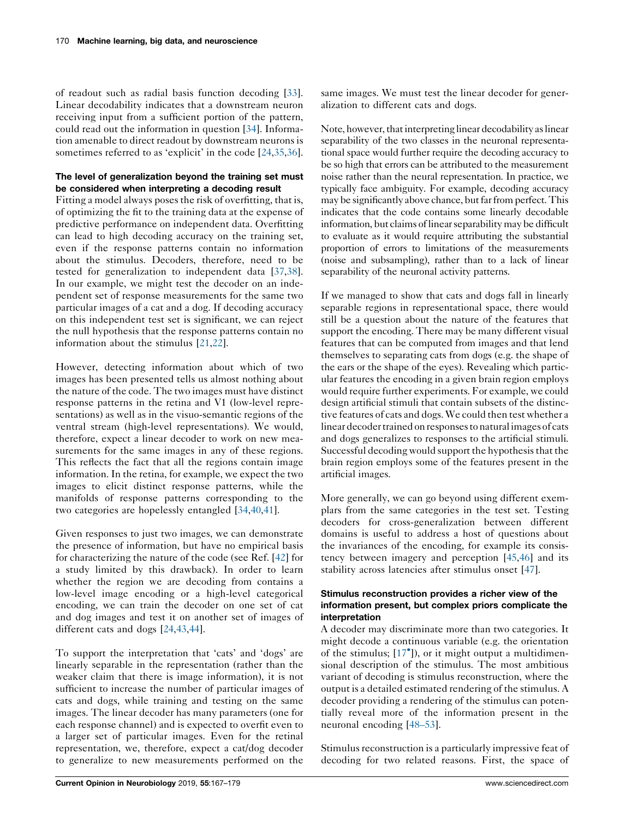of readout such as radial basis function decoding [\[33](#page-11-0)]. Linear decodability indicates that a downstream neuron receiving input from a sufficient portion of the pattern, could read out the information in question [[34\]](#page-11-0). Information amenable to direct readout by downstream neurons is sometimes referred to as 'explicit' in the code [\[24](#page-11-0),[35,36](#page-11-0)].

# The level of generalization beyond the training set must be considered when interpreting a decoding result

Fitting a model always poses the risk of overfitting, that is, of optimizing the fit to the training data at the expense of predictive performance on independent data. Overfitting can lead to high decoding accuracy on the training set, even if the response patterns contain no information about the stimulus. Decoders, therefore, need to be tested for generalization to independent data [[37,38](#page-11-0)]. In our example, we might test the decoder on an independent set of response measurements for the same two particular images of a cat and a dog. If decoding accuracy on this independent test set is significant, we can reject the null hypothesis that the response patterns contain no information about the stimulus [\[21](#page-11-0),[22\]](#page-11-0).

However, detecting information about which of two images has been presented tells us almost nothing about the nature of the code. The two images must have distinct response patterns in the retina and V1 (low-level representations) as well as in the visuo-semantic regions of the ventral stream (high-level representations). We would, therefore, expect a linear decoder to work on new measurements for the same images in any of these regions. This reflects the fact that all the regions contain image information. In the retina, for example, we expect the two images to elicit distinct response patterns, while the manifolds of response patterns corresponding to the two categories are hopelessly entangled [[34,40](#page-11-0),[41\]](#page-11-0).

Given responses to just two images, we can demonstrate the presence of information, but have no empirical basis for characterizing the nature of the code (see Ref. [[42\]](#page-11-0) for a study limited by this drawback). In order to learn whether the region we are decoding from contains a low-level image encoding or a high-level categorical encoding, we can train the decoder on one set of cat and dog images and test it on another set of images of different cats and dogs [[24](#page-11-0),[43](#page-11-0),[44](#page-11-0)].

To support the interpretation that 'cats' and 'dogs' are linearly separable in the representation (rather than the weaker claim that there is image information), it is not sufficient to increase the number of particular images of cats and dogs, while training and testing on the same images. The linear decoder has many parameters (one for each response channel) and is expected to overfit even to a larger set of particular images. Even for the retinal representation, we, therefore, expect a cat/dog decoder to generalize to new measurements performed on the

same images. We must test the linear decoder for generalization to different cats and dogs.

Note, however, that interpreting linear decodability as linear separability of the two classes in the neuronal representational space would further require the decoding accuracy to be so high that errors can be attributed to the measurement noise rather than the neural representation. In practice, we typically face ambiguity. For example, decoding accuracy may be significantly above chance, but far from perfect. This indicates that the code contains some linearly decodable information, but claims of linear separability may be difficult to evaluate as it would require attributing the substantial proportion of errors to limitations of the measurements (noise and subsampling), rather than to a lack of linear separability of the neuronal activity patterns.

If we managed to show that cats and dogs fall in linearly separable regions in representational space, there would still be a question about the nature of the features that support the encoding. There may be many different visual features that can be computed from images and that lend themselves to separating cats from dogs (e.g. the shape of the ears or the shape of the eyes). Revealing which particular features the encoding in a given brain region employs would require further experiments. For example, we could design artificial stimuli that contain subsets of the distinctive features of cats and dogs. We could then test whether a linear decoder trained on responses to natural images of cats and dogs generalizes to responses to the artificial stimuli. Successful decoding would support the hypothesis that the brain region employs some of the features present in the artificial images.

More generally, we can go beyond using different exemplars from the same categories in the test set. Testing decoders for cross-generalization between different domains is useful to address a host of questions about the invariances of the encoding, for example its consistency between imagery and perception [\[45](#page-11-0),[46\]](#page-11-0) and its stability across latencies after stimulus onset [[47\]](#page-11-0).

## Stimulus reconstruction provides a richer view of the information present, but complex priors complicate the interpretation

A decoder may discriminate more than two categories. It might decode a continuous variable (e.g. the orientation of the stimulus; [17 ]), or it might output a [multidimen](#page-11-0)sional description of the stimulus. The most ambitious variant of decoding is stimulus reconstruction, where the output is a detailed estimated rendering of the stimulus. A decoder providing a rendering of the stimulus can potentially reveal more of the information present in the neuronal encoding [[48–53\]](#page-11-0).

Stimulus reconstruction is a particularly impressive feat of decoding for two related reasons. First, the space of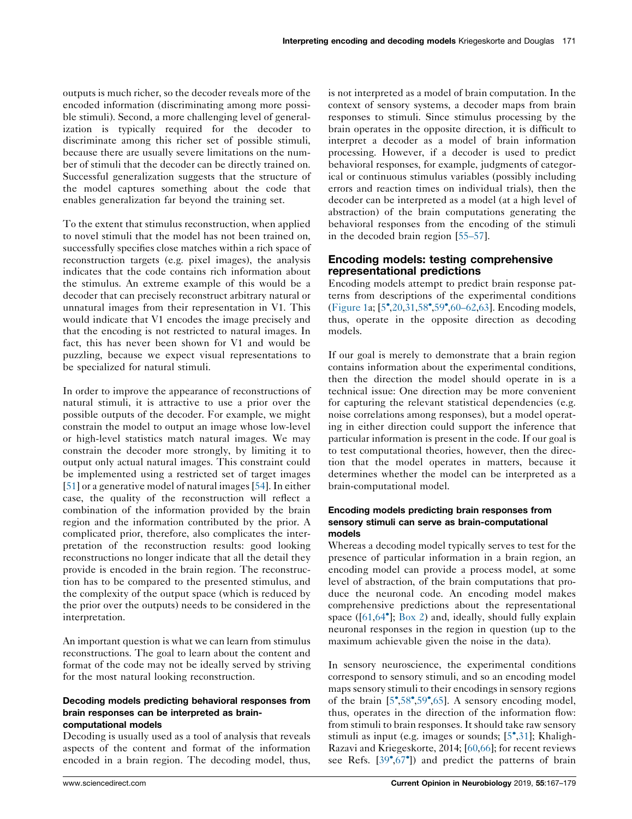outputs is much richer, so the decoder reveals more of the encoded information (discriminating among more possible stimuli). Second, a more challenging level of generalization is typically required for the decoder to discriminate among this richer set of possible stimuli, because there are usually severe limitations on the number of stimuli that the decoder can be directly trained on. Successful generalization suggests that the structure of the model captures something about the code that enables generalization far beyond the training set.

To the extent that stimulus reconstruction, when applied to novel stimuli that the model has not been trained on, successfully specifies close matches within a rich space of reconstruction targets (e.g. pixel images), the analysis indicates that the code contains rich information about the stimulus. An extreme example of this would be a decoder that can precisely reconstruct arbitrary natural or unnatural images from their representation in V1. This would indicate that V1 encodes the image precisely and that the encoding is not restricted to natural images. In fact, this has never been shown for V1 and would be puzzling, because we expect visual representations to be specialized for natural stimuli.

In order to improve the appearance of reconstructions of natural stimuli, it is attractive to use a prior over the possible outputs of the decoder. For example, we might constrain the model to output an image whose low-level or high-level statistics match natural images. We may constrain the decoder more strongly, by limiting it to output only actual natural images. This constraint could be implemented using a restricted set of target images [\[51](#page-11-0)] or a generative model of natural images [\[54](#page-12-0)]. In either case, the quality of the reconstruction will reflect a combination of the information provided by the brain region and the information contributed by the prior. A complicated prior, therefore, also complicates the interpretation of the reconstruction results: good looking reconstructions no longer indicate that all the detail they provide is encoded in the brain region. The reconstruction has to be compared to the presented stimulus, and the complexity of the output space (which is reduced by the prior over the outputs) needs to be considered in the interpretation.

An important question is what we can learn from stimulus reconstructions. The goal to learn about the content and format of the code may not be ideally served by striving for the most natural looking reconstruction.

#### Decoding models predicting behavioral responses from brain responses can be interpreted as braincomputational models

Decoding is usually used as a tool of analysis that reveals aspects of the content and format of the information encoded in a brain region. The decoding model, thus, is not interpreted as a model of brain computation. In the context of sensory systems, a decoder maps from brain responses to stimuli. Since stimulus processing by the brain operates in the opposite direction, it is difficult to interpret a decoder as a model of brain information processing. However, if a decoder is used to predict behavioral responses, for example, judgments of categorical or continuous stimulus variables (possibly including errors and reaction times on individual trials), then the decoder can be interpreted as a model (at a high level of abstraction) of the brain computations generating the behavioral responses from the encoding of the stimuli in the decoded brain region [\[55–57](#page-12-0)].

# Encoding models: testing comprehensive representational predictions

Encoding models attempt to predict brain response patterns from descriptions of the experimental conditions ([Figure](#page-2-0) 1a; [\[5](#page-10-0)[,20](#page-11-0),[31,](#page-11-0)[58](#page-12-0)[,59](#page-12-0),[60–62,63](#page-12-0)]. Encoding models, thus, operate in the opposite direction as decoding models.

If our goal is merely to demonstrate that a brain region contains information about the experimental conditions, then the direction the model should operate in is a technical issue: One direction may be more convenient for capturing the relevant statistical dependencies (e.g. noise correlations among responses), but a model operating in either direction could support the inference that particular information is present in the code. If our goal is to test computational theories, however, then the direction that the model operates in matters, because it determines whether the model can be interpreted as a brain-computational model.

## Encoding models predicting brain responses from sensory stimuli can serve as brain-computational models

Whereas a decoding model typically serves to test for the presence of particular information in a brain region, an encoding model can provide a process model, at some level of abstraction, of the brain computations that produce the neuronal code. An encoding model makes comprehensive predictions about the representational space ([\[61](#page-12-0),[64](#page-12-0)<sup>°</sup>]; [Box](#page-5-0) 2) and, ideally, should fully explain neuronal responses in the region in question (up to the maximum achievable given the noise in the data).

In sensory neuroscience, the experimental conditions correspond to sensory stimuli, and so an encoding model maps sensory stimuli to their encodings in sensory regions of the brain [[5](#page-10-0)<sup>\*</sup>[,58](#page-12-0)<sup>\*</sup>[,59](#page-12-0)<sup>\*</sup>[,65](#page-12-0)]. A sensory encoding model, thus, operates in the direction of the information flow: from stimuli to brain responses. It should take raw sensory stimuli as input (e.g. images or sounds; [[5](#page-10-0),[31\]](#page-11-0); Khaligh-Razavi and Kriegeskorte, 2014; [\[60](#page-12-0),[66\]](#page-12-0); for recent reviews see Refs. [[39](#page-11-0)<sup>°</sup>[,67](#page-12-0)<sup>°</sup>]) and predict the patterns of brain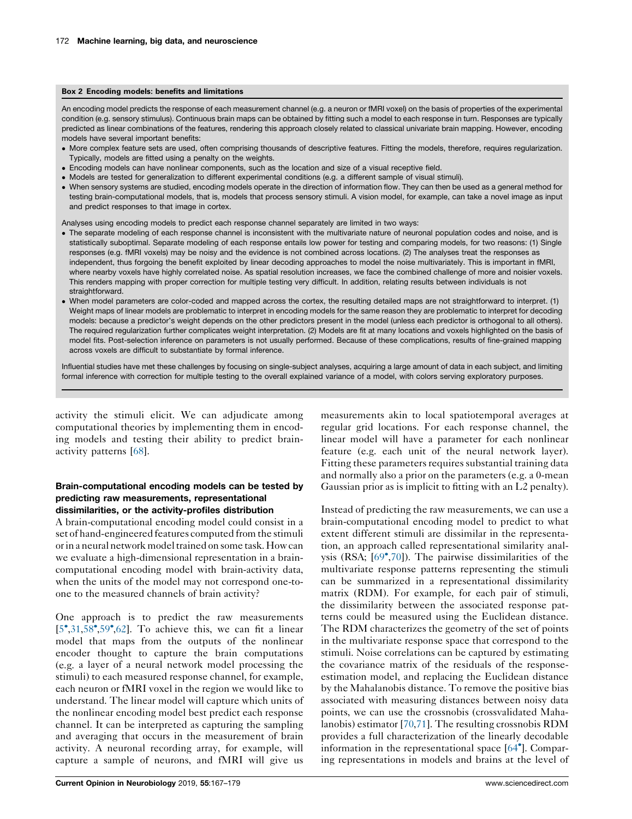#### <span id="page-5-0"></span>Box 2 Encoding models: benefits and limitations

An encoding model predicts the response of each measurement channel (e.g. a neuron or fMRI voxel) on the basis of properties of the experimental condition (e.g. sensory stimulus). Continuous brain maps can be obtained by fitting such a model to each response in turn. Responses are typically predicted as linear combinations of the features, rendering this approach closely related to classical univariate brain mapping. However, encoding models have several important benefits:

- More complex feature sets are used, often comprising thousands of descriptive features. Fitting the models, therefore, requires regularization. Typically, models are fitted using a penalty on the weights.
- Encoding models can have nonlinear components, such as the location and size of a visual receptive field.
- Models are tested for generalization to different experimental conditions (e.g. a different sample of visual stimuli).
- When sensory systems are studied, encoding models operate in the direction of information flow. They can then be used as a general method for testing brain-computational models, that is, models that process sensory stimuli. A vision model, for example, can take a novel image as input and predict responses to that image in cortex.

Analyses using encoding models to predict each response channel separately are limited in two ways:

- The separate modeling of each response channel is inconsistent with the multivariate nature of neuronal population codes and noise, and is statistically suboptimal. Separate modeling of each response entails low power for testing and comparing models, for two reasons: (1) Single responses (e.g. fMRI voxels) may be noisy and the evidence is not combined across locations. (2) The analyses treat the responses as independent, thus forgoing the benefit exploited by linear decoding approaches to model the noise multivariately. This is important in fMRI, where nearby voxels have highly correlated noise. As spatial resolution increases, we face the combined challenge of more and noisier voxels. This renders mapping with proper correction for multiple testing very difficult. In addition, relating results between individuals is not straightforward.
- When model parameters are color-coded and mapped across the cortex, the resulting detailed maps are not straightforward to interpret. (1) Weight maps of linear models are problematic to interpret in encoding models for the same reason they are problematic to interpret for decoding models: because a predictor's weight depends on the other predictors present in the model (unless each predictor is orthogonal to all others). The required regularization further complicates weight interpretation. (2) Models are fit at many locations and voxels highlighted on the basis of model fits. Post-selection inference on parameters is not usually performed. Because of these complications, results of fine-grained mapping across voxels are difficult to substantiate by formal inference.

Influential studies have met these challenges by focusing on single-subject analyses, acquiring a large amount of data in each subject, and limiting formal inference with correction for multiple testing to the overall explained variance of a model, with colors serving exploratory purposes.

activity the stimuli elicit. We can adjudicate among computational theories by implementing them in encoding models and testing their ability to predict brainactivity patterns [\[68](#page-12-0)].

### Brain-computational encoding models can be tested by predicting raw measurements, representational dissimilarities, or the activity-profiles distribution

A brain-computational encoding model could consist in a set of hand-engineered features computed from the stimuli or in a neural network model trained on some task. How can we evaluate a high-dimensional representation in a braincomputational encoding model with brain-activity data, when the units of the model may not correspond one-toone to the measured channels of brain activity?

One approach is to predict the raw measurements [\[5](#page-10-0)[,31](#page-11-0),[58](#page-12-0),[59](#page-12-0)[,62](#page-12-0)]. To achieve this, we can fit a linear model that maps from the outputs of the nonlinear encoder thought to capture the brain computations (e.g. a layer of a neural network model processing the stimuli) to each measured response channel, for example, each neuron or fMRI voxel in the region we would like to understand. The linear model will capture which units of the nonlinear encoding model best predict each response channel. It can be interpreted as capturing the sampling and averaging that occurs in the measurement of brain activity. A neuronal recording array, for example, will capture a sample of neurons, and fMRI will give us measurements akin to local spatiotemporal averages at regular grid locations. For each response channel, the linear model will have a parameter for each nonlinear feature (e.g. each unit of the neural network layer). Fitting these parameters requires substantial training data and normally also a prior on the parameters (e.g. a 0-mean Gaussian prior as is implicit to fitting with an L2 penalty).

Instead of predicting the raw measurements, we can use a brain-computational encoding model to predict to what extent different stimuli are dissimilar in the representation, an approach called representational similarity analysis (RSA;  $[69^{\circ},70]$  $[69^{\circ},70]$  $[69^{\circ},70]$  $[69^{\circ},70]$  $[69^{\circ},70]$ ). The pairwise dissimilarities of the multivariate response patterns representing the stimuli can be summarized in a representational dissimilarity matrix (RDM). For example, for each pair of stimuli, the dissimilarity between the associated response patterns could be measured using the Euclidean distance. The RDM characterizes the geometry of the set of points in the multivariate response space that correspond to the stimuli. Noise correlations can be captured by estimating the covariance matrix of the residuals of the responseestimation model, and replacing the Euclidean distance by the Mahalanobis distance. To remove the positive bias associated with measuring distances between noisy data points, we can use the crossnobis (crossvalidated Mahalanobis) estimator [\[70](#page-12-0),[71\]](#page-12-0). The resulting crossnobis RDM provides a full characterization of the linearly decodable information in the representational space [\[64](#page-12-0) ]. Comparing representations in models and brains at the level of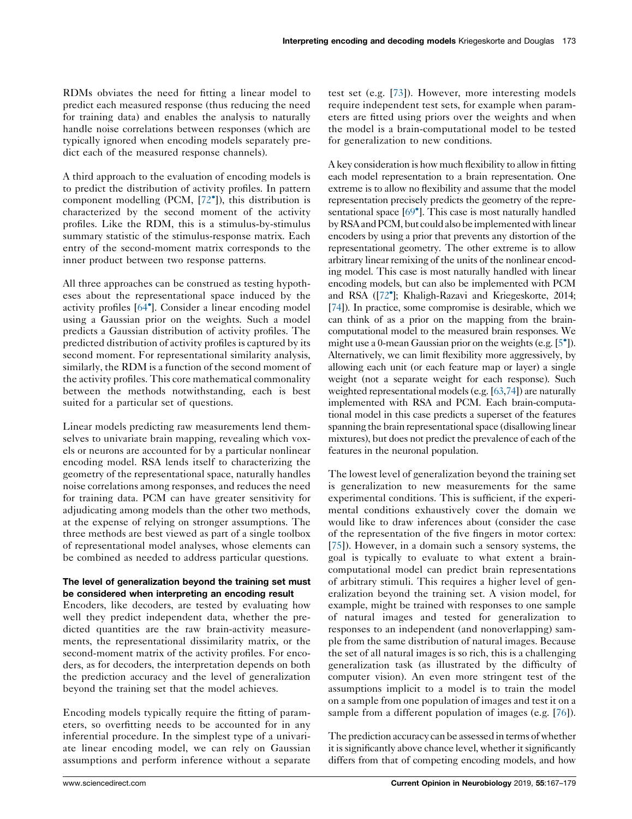RDMs obviates the need for fitting a linear model to predict each measured response (thus reducing the need for training data) and enables the analysis to naturally handle noise correlations between responses (which are typically ignored when encoding models separately predict each of the measured response channels).

A third approach to the evaluation of encoding models is to predict the distribution of activity profiles. In pattern component modelling (PCM, [72 ]), this [distribution](#page-12-0) is characterized by the second moment of the activity profiles. Like the RDM, this is a stimulus-by-stimulus summary statistic of the stimulus-response matrix. Each entry of the second-moment matrix corresponds to the inner product between two response patterns.

All three approaches can be construed as testing hypotheses about the representational space induced by the activity profiles [\[64](#page-12-0) ]. Consider a linear encoding model using a Gaussian prior on the weights. Such a model predicts a Gaussian distribution of activity profiles. The predicted distribution of activity profiles is captured by its second moment. For representational similarity analysis, similarly, the RDM is a function of the second moment of the activity profiles. This core mathematical commonality between the methods notwithstanding, each is best suited for a particular set of questions.

Linear models predicting raw measurements lend themselves to univariate brain mapping, revealing which voxels or neurons are accounted for by a particular nonlinear encoding model. RSA lends itself to characterizing the geometry of the representational space, naturally handles noise correlations among responses, and reduces the need for training data. PCM can have greater sensitivity for adjudicating among models than the other two methods, at the expense of relying on stronger assumptions. The three methods are best viewed as part of a single toolbox of representational model analyses, whose elements can be combined as needed to address particular questions.

# The level of generalization beyond the training set must be considered when interpreting an encoding result

Encoders, like decoders, are tested by evaluating how well they predict independent data, whether the predicted quantities are the raw brain-activity measurements, the representational dissimilarity matrix, or the second-moment matrix of the activity profiles. For encoders, as for decoders, the interpretation depends on both the prediction accuracy and the level of generalization beyond the training set that the model achieves.

Encoding models typically require the fitting of parameters, so overfitting needs to be accounted for in any inferential procedure. In the simplest type of a univariate linear encoding model, we can rely on Gaussian assumptions and perform inference without a separate test set (e.g. [\[73](#page-12-0)]). However, more interesting models require independent test sets, for example when parameters are fitted using priors over the weights and when the model is a brain-computational model to be tested for generalization to new conditions.

Akey consideration is how much flexibility to allow in fitting each model representation to a brain representation. One extreme is to allow no flexibility and assume that the model representation precisely predicts the geometry of the representational space [69<sup>°</sup>]. This case is most [naturally](#page-12-0) handled by RSA and PCM, but could also be implemented with linear encoders by using a prior that prevents any distortion of the representational geometry. The other extreme is to allow arbitrary linear remixing of the units of the nonlinear encoding model. This case is most naturally handled with linear encoding models, but can also be implemented with PCM and RSA ([[72](#page-12-0) ]; Khaligh-Razavi and Kriegeskorte, 2014; [\[74\]](#page-12-0)). In practice, some compromise is desirable, which we can think of as a prior on the mapping from the braincomputational model to the measured brain responses. We might use a 0-mean Gaussian prior on the weights (e.g. [5<sup>°</sup>[\]\).](#page-10-0) Alternatively, we can limit flexibility more aggressively, by allowing each unit (or each feature map or layer) a single weight (not a separate weight for each response). Such weighted representational models(e.g. [[63](#page-12-0),[74](#page-12-0)]) are naturally implemented with RSA and PCM. Each brain-computational model in this case predicts a superset of the features spanning the brain representational space (disallowing linear mixtures), but does not predict the prevalence of each of the features in the neuronal population.

The lowest level of generalization beyond the training set is generalization to new measurements for the same experimental conditions. This is sufficient, if the experimental conditions exhaustively cover the domain we would like to draw inferences about (consider the case of the representation of the five fingers in motor cortex: [[75](#page-12-0)]). However, in a domain such a sensory systems, the goal is typically to evaluate to what extent a braincomputational model can predict brain representations of arbitrary stimuli. This requires a higher level of generalization beyond the training set. A vision model, for example, might be trained with responses to one sample of natural images and tested for generalization to responses to an independent (and nonoverlapping) sample from the same distribution of natural images. Because the set of all natural images is so rich, this is a challenging generalization task (as illustrated by the difficulty of computer vision). An even more stringent test of the assumptions implicit to a model is to train the model on a sample from one population of images and test it on a sample from a different population of images (e.g. [\[76](#page-12-0)]).

The prediction accuracy can be assessedin terms of whether it is significantly above chance level, whether it significantly differs from that of competing encoding models, and how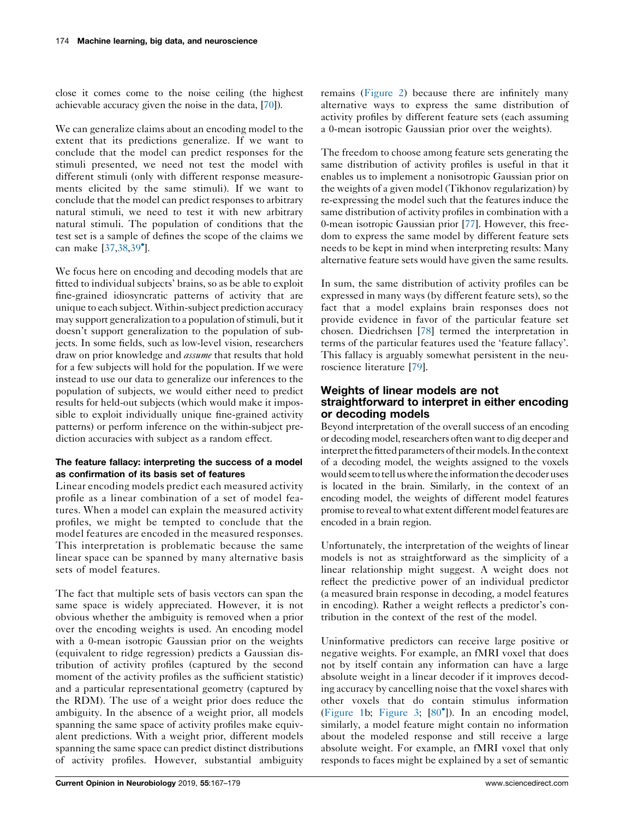close it comes come to the noise ceiling (the highest achievable accuracy given the noise in the data, [[70](#page-12-0)]).

We can generalize claims about an encoding model to the extent that its predictions generalize. If we want to conclude that the model can predict responses for the stimuli presented, we need not test the model with different stimuli (only with different response measurements elicited by the same stimuli). If we want to conclude that the model can predict responses to arbitrary natural stimuli, we need to test it with new arbitrary natural stimuli. The population of conditions that the test set is a sample of defines the scope of the claims we can make [[37,38](#page-11-0),[39](#page-11-0) ].

We focus here on encoding and decoding models that are fitted to individual subjects' brains, so as be able to exploit fine-grained idiosyncratic patterns of activity that are unique to each subject.Within-subject prediction accuracy may support generalization to a population of stimuli, but it doesn't support generalization to the population of subjects. In some fields, such as low-level vision, researchers draw on prior knowledge and assume that results that hold for a few subjects will hold for the population. If we were instead to use our data to generalize our inferences to the population of subjects, we would either need to predict results for held-out subjects (which would make it impossible to exploit individually unique fine-grained activity patterns) or perform inference on the within-subject prediction accuracies with subject as a random effect.

## The feature fallacy: interpreting the success of a model as confirmation of its basis set of features

Linear encoding models predict each measured activity profile as a linear combination of a set of model features. When a model can explain the measured activity profiles, we might be tempted to conclude that the model features are encoded in the measured responses. This interpretation is problematic because the same linear space can be spanned by many alternative basis sets of model features.

The fact that multiple sets of basis vectors can span the same space is widely appreciated. However, it is not obvious whether the ambiguity is removed when a prior over the encoding weights is used. An encoding model with a 0-mean isotropic Gaussian prior on the weights (equivalent to ridge regression) predicts a Gaussian distribution of activity profiles (captured by the second moment of the activity profiles as the sufficient statistic) and a particular representational geometry (captured by the RDM). The use of a weight prior does reduce the ambiguity. In the absence of a weight prior, all models spanning the same space of activity profiles make equivalent predictions. With a weight prior, different models spanning the same space can predict distinct distributions of activity profiles. However, substantial ambiguity

remains ([Figure](#page-8-0) 2) because there are infinitely many alternative ways to express the same distribution of activity profiles by different feature sets (each assuming a 0-mean isotropic Gaussian prior over the weights).

The freedom to choose among feature sets generating the same distribution of activity profiles is useful in that it enables us to implement a nonisotropic Gaussian prior on the weights of a given model (Tikhonov regularization) by re-expressing the model such that the features induce the same distribution of activity profiles in combination with a 0-mean isotropic Gaussian prior [[77\]](#page-12-0). However, this freedom to express the same model by different feature sets needs to be kept in mind when interpreting results: Many alternative feature sets would have given the same results.

In sum, the same distribution of activity profiles can be expressed in many ways (by different feature sets), so the fact that a model explains brain responses does not provide evidence in favor of the particular feature set chosen. Diedrichsen [[78\]](#page-12-0) termed the interpretation in terms of the particular features used the 'feature fallacy'. This fallacy is arguably somewhat persistent in the neuroscience literature [\[79](#page-12-0)].

# Weights of linear models are not straightforward to interpret in either encoding or decoding models

Beyond interpretation of the overall success of an encoding or decoding model, researchers often want to dig deeper and interpret the fitted parameters of their models. In the context of a decoding model, the weights assigned to the voxels would seem to tell uswhere theinformation the decoder uses is located in the brain. Similarly, in the context of an encoding model, the weights of different model features promise to reveal to what extent different model features are encoded in a brain region.

Unfortunately, the interpretation of the weights of linear models is not as straightforward as the simplicity of a linear relationship might suggest. A weight does not reflect the predictive power of an individual predictor (a measured brain response in decoding, a model features in encoding). Rather a weight reflects a predictor's contribution in the context of the rest of the model.

Uninformative predictors can receive large positive or negative weights. For example, an fMRI voxel that does not by itself contain any information can have a large absolute weight in a linear decoder if it improves decoding accuracy by cancelling noise that the voxel shares with other voxels that do contain stimulus information [\(Figure](#page-2-0) 1b; [Figure](#page-9-0) 3; [80 ]). In an [encoding](#page-12-0) model, similarly, a model feature might contain no information about the modeled response and still receive a large absolute weight. For example, an fMRI voxel that only responds to faces might be explained by a set of semantic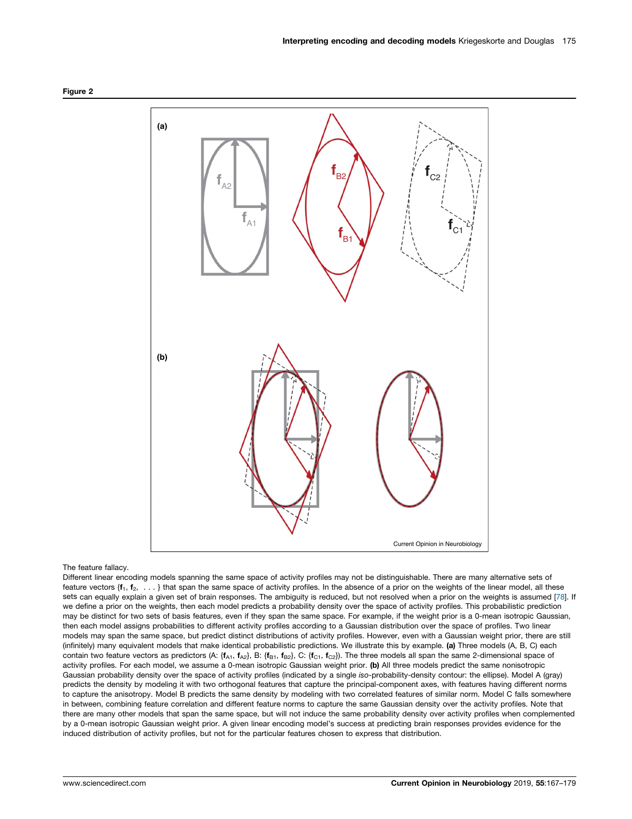<span id="page-8-0"></span>



The feature fallacy.

Different linear encoding models spanning the same space of activity profiles may not be distinguishable. There are many alternative sets of feature vectors  $\{f_1, f_2, \ldots\}$  that span the same space of activity profiles. In the absence of a prior on the weights of the linear model, all these sets can equally explain a given set of brain responses. The ambiguity is reduced, but not resolved when a prior on the weights is assumed [\[78](#page-12-0)]. If we define a prior on the weights, then each model predicts a probability density over the space of activity profiles. This probabilistic prediction may be distinct for two sets of basis features, even if they span the same space. For example, if the weight prior is a 0-mean isotropic Gaussian, then each model assigns probabilities to different activity profiles according to a Gaussian distribution over the space of profiles. Two linear models may span the same space, but predict distinct distributions of activity profiles. However, even with a Gaussian weight prior, there are still (infinitely) many equivalent models that make identical probabilistic predictions. We illustrate this by example. (a) Three models (A, B, C) each contain two feature vectors as predictors (A:  $\{f_{A1}, f_{A2}\}$ , B:  $\{f_{B1}, f_{B2}\}$ , C:  $\{f_{C1}, f_{C2}\}$ ). The three models all span the same 2-dimensional space of activity profiles. For each model, we assume a 0-mean isotropic Gaussian weight prior. (b) All three models predict the same nonisotropic Gaussian probability density over the space of activity profiles (indicated by a single iso-probability-density contour: the ellipse). Model A (gray) predicts the density by modeling it with two orthogonal features that capture the principal-component axes, with features having different norms to capture the anisotropy. Model B predicts the same density by modeling with two correlated features of similar norm. Model C falls somewhere in between, combining feature correlation and different feature norms to capture the same Gaussian density over the activity profiles. Note that there are many other models that span the same space, but will not induce the same probability density over activity profiles when complemented by a 0-mean isotropic Gaussian weight prior. A given linear encoding model's success at predicting brain responses provides evidence for the induced distribution of activity profiles, but not for the particular features chosen to express that distribution.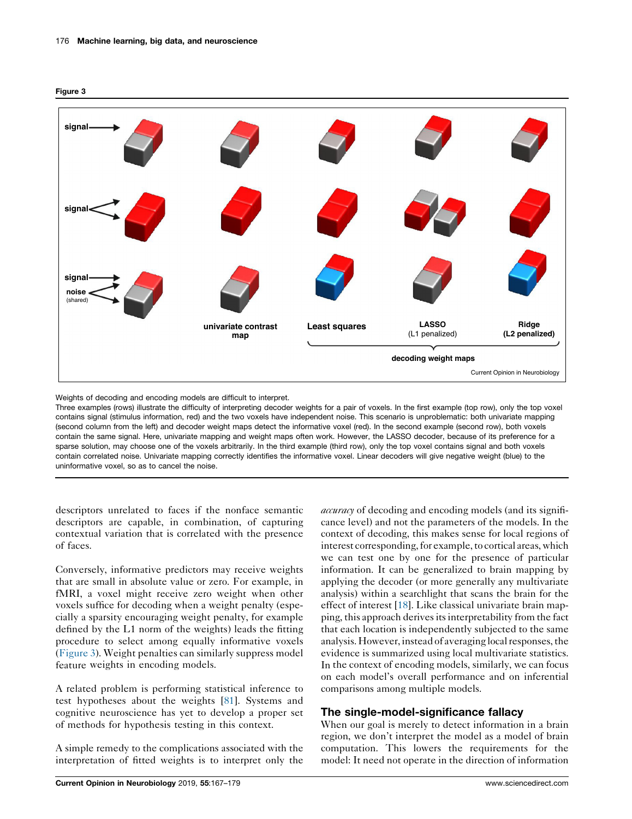<span id="page-9-0"></span>



Weights of decoding and encoding models are difficult to interpret.

Three examples (rows) illustrate the difficulty of interpreting decoder weights for a pair of voxels. In the first example (top row), only the top voxel contains signal (stimulus information, red) and the two voxels have independent noise. This scenario is unproblematic: both univariate mapping (second column from the left) and decoder weight maps detect the informative voxel (red). In the second example (second row), both voxels contain the same signal. Here, univariate mapping and weight maps often work. However, the LASSO decoder, because of its preference for a sparse solution, may choose one of the voxels arbitrarily. In the third example (third row), only the top voxel contains signal and both voxels contain correlated noise. Univariate mapping correctly identifies the informative voxel. Linear decoders will give negative weight (blue) to the uninformative voxel, so as to cancel the noise.

descriptors unrelated to faces if the nonface semantic descriptors are capable, in combination, of capturing contextual variation that is correlated with the presence of faces.

Conversely, informative predictors may receive weights that are small in absolute value or zero. For example, in fMRI, a voxel might receive zero weight when other voxels suffice for decoding when a weight penalty (especially a sparsity encouraging weight penalty, for example defined by the L1 norm of the weights) leads the fitting procedure to select among equally informative voxels (Figure 3). Weight penalties can similarly suppress model feature weights in encoding models.

A related problem is performing statistical inference to test hypotheses about the weights [\[81](#page-12-0)]. Systems and cognitive neuroscience has yet to develop a proper set of methods for hypothesis testing in this context.

A simple remedy to the complications associated with the interpretation of fitted weights is to interpret only the

*accuracy* of decoding and encoding models (and its significance level) and not the parameters of the models. In the context of decoding, this makes sense for local regions of interest corresponding, for example, to cortical areas, which we can test one by one for the presence of particular information. It can be generalized to brain mapping by applying the decoder (or more generally any multivariate analysis) within a searchlight that scans the brain for the effect of interest [[18](#page-11-0)]. Like classical univariate brain mapping, this approach derivesitsinterpretability from the fact that each location is independently subjected to the same analysis. However, instead of averaging local responses, the evidence is summarized using local multivariate statistics. In the context of encoding models, similarly, we can focus on each model's overall performance and on inferential comparisons among multiple models.

# The single-model-significance fallacy

When our goal is merely to detect information in a brain region, we don't interpret the model as a model of brain computation. This lowers the requirements for the model: It need not operate in the direction of information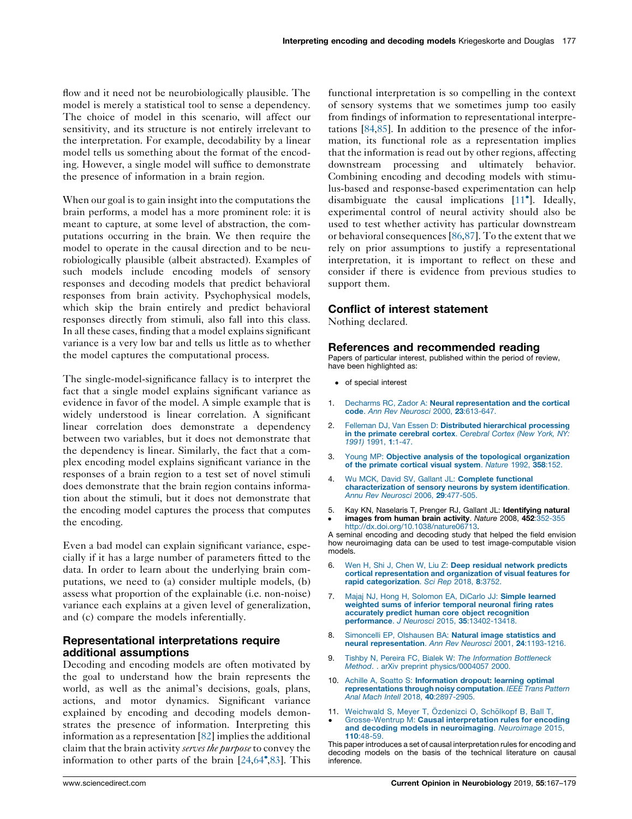<span id="page-10-0"></span>flow and it need not be neurobiologically plausible. The model is merely a statistical tool to sense a dependency. The choice of model in this scenario, will affect our sensitivity, and its structure is not entirely irrelevant to the interpretation. For example, decodability by a linear model tells us something about the format of the encoding. However, a single model will suffice to demonstrate the presence of information in a brain region.

When our goal is to gain insight into the computations the brain performs, a model has a more prominent role: it is meant to capture, at some level of abstraction, the computations occurring in the brain. We then require the model to operate in the causal direction and to be neurobiologically plausible (albeit abstracted). Examples of such models include encoding models of sensory responses and decoding models that predict behavioral responses from brain activity. Psychophysical models, which skip the brain entirely and predict behavioral responses directly from stimuli, also fall into this class. In all these cases, finding that a model explains significant variance is a very low bar and tells us little as to whether the model captures the computational process.

The single-model-significance fallacy is to interpret the fact that a single model explains significant variance as evidence in favor of the model. A simple example that is widely understood is linear correlation. A significant linear correlation does demonstrate a dependency between two variables, but it does not demonstrate that the dependency is linear. Similarly, the fact that a complex encoding model explains significant variance in the responses of a brain region to a test set of novel stimuli does demonstrate that the brain region contains information about the stimuli, but it does not demonstrate that the encoding model captures the process that computes the encoding.

Even a bad model can explain significant variance, especially if it has a large number of parameters fitted to the data. In order to learn about the underlying brain computations, we need to (a) consider multiple models, (b) assess what proportion of the explainable (i.e. non-noise) variance each explains at a given level of generalization, and (c) compare the models inferentially.

# Representational interpretations require additional assumptions

Decoding and encoding models are often motivated by the goal to understand how the brain represents the world, as well as the animal's decisions, goals, plans, actions, and motor dynamics. Significant variance explained by encoding and decoding models demonstrates the presence of information. Interpreting this information as a representation  $[82]$  $[82]$  $[82]$  implies the additional claim that the brain activity serves the purpose to convey the information to other parts of the brain [[24](#page-11-0),[64](#page-12-0) ,[83\]](#page-12-0). This

functional interpretation is so compelling in the context of sensory systems that we sometimes jump too easily from findings of information to representational interpretations [\[84](#page-12-0),[85\]](#page-12-0). In addition to the presence of the information, its functional role as a representation implies that the information is read out by other regions, affecting downstream processing and ultimately behavior. Combining encoding and decoding models with stimulus-based and response-based experimentation can help disambiguate the causal implications [11 ]. Ideally, experimental control of neural activity should also be used to test whether activity has particular downstream or behavioral consequences [\[86](#page-12-0),[87\]](#page-12-0). To the extent that we rely on prior assumptions to justify a representational interpretation, it is important to reflect on these and consider if there is evidence from previous studies to support them.

# Conflict of interest statement

Nothing declared.

#### References and recommended reading

Papers of particular interest, published within the period of review, have been highlighted as:

- of special interest
- 1. Decharms RC, Zador A: Neural [representation](http://refhub.elsevier.com/S0959-4388(18)30100-4/sbref0005) and the cortical code. Ann Rev Neurosci 2000, 23[:613-647.](http://refhub.elsevier.com/S0959-4388(18)30100-4/sbref0005)
- 2. Felleman DJ, Van Essen D: Distributed [hierarchical](http://refhub.elsevier.com/S0959-4388(18)30100-4/sbref0010) processing in the primate [cerebral](http://refhub.elsevier.com/S0959-4388(18)30100-4/sbref0010) cortex. Cerebral Cortex (New York, NY: 1991) 1991, 1[:1-47.](http://refhub.elsevier.com/S0959-4388(18)30100-4/sbref0010)
- 3. Young MP: Objective analysis of the topological [organization](http://refhub.elsevier.com/S0959-4388(18)30100-4/sbref0015) of the [primate](http://refhub.elsevier.com/S0959-4388(18)30100-4/sbref0015) cortical visual system. Nature 1992, 358:152.
- 4. Wu MCK, David SV, Gallant JL: Complete [functional](http://refhub.elsevier.com/S0959-4388(18)30100-4/sbref0020) [characterization](http://refhub.elsevier.com/S0959-4388(18)30100-4/sbref0020) of sensory neurons by system identification. Annu Rev Neurosci 2006, 29[:477-505.](http://refhub.elsevier.com/S0959-4388(18)30100-4/sbref0020)
- 5. <u>•</u> Kay KN, Naselaris T, Prenger RJ, Gallant JL: Identifying natural images from human brain activity. Nature 2008, 452:352-355 [http://dx.doi.org/10.1038/nature06713.](http://dx.doi.org/10.1038/nature06713)

A seminal encoding and decoding study that helped the field envision how neuroimaging data can be used to test image-computable vision models.

- 6. Wen H, Shi J, Chen W, Liu Z: Deep residual [network](http://refhub.elsevier.com/S0959-4388(18)30100-4/sbref0030) predicts cortical [representation](http://refhub.elsevier.com/S0959-4388(18)30100-4/sbref0030) and organization of visual features for rapid [categorization](http://refhub.elsevier.com/S0959-4388(18)30100-4/sbref0030). Sci Rep 2018, 8:3752.
- 7. Majaj NJ, Hong H, [Solomon](http://refhub.elsevier.com/S0959-4388(18)30100-4/sbref0035) EA, DiCarlo JJ: Simple learned [weighted](http://refhub.elsevier.com/S0959-4388(18)30100-4/sbref0035) sums of inferior temporal neuronal firing rates accurately predict human core object [recognition](http://refhub.elsevier.com/S0959-4388(18)30100-4/sbref0035) performance. J Neurosci 2015, 35[:13402-13418.](http://refhub.elsevier.com/S0959-4388(18)30100-4/sbref0035)
- 8. Simoncelli EP, [Olshausen](http://refhub.elsevier.com/S0959-4388(18)30100-4/sbref0040) BA: Natural image statistics and neural [representation](http://refhub.elsevier.com/S0959-4388(18)30100-4/sbref0040). Ann Rev Neurosci 2001, 24:1193-1216.
- 9. Tishby N, Pereira FC, Bialek W: The [Information](http://refhub.elsevier.com/S0959-4388(18)30100-4/sbref0045) Bottleneck Method. . arXiv preprint [physics/0004057](http://refhub.elsevier.com/S0959-4388(18)30100-4/sbref0045) 2000.
- 10. Achille A, Soatto S: [Information](http://refhub.elsevier.com/S0959-4388(18)30100-4/sbref0050) dropout: learning optimal [representations](http://refhub.elsevier.com/S0959-4388(18)30100-4/sbref0050) through noisy computation. IEEE Trans Pattern Anal Mach Intell 2018, 40[:2897-2905.](http://refhub.elsevier.com/S0959-4388(18)30100-4/sbref0050)
- 11.  $\cdot$ [Weichwald](http://refhub.elsevier.com/S0959-4388(18)30100-4/sbref0055) S, Meyer T, Özdenizci O, Schölkopf B, Ball T,<br>[Grosse-Wentrup](http://refhub.elsevier.com/S0959-4388(18)30100-4/sbref0055) M: **Causal interpretation rules for encoding** and decoding models in [neuroimaging](http://refhub.elsevier.com/S0959-4388(18)30100-4/sbref0055). Neuroimage 2015, 110[:48-59.](http://refhub.elsevier.com/S0959-4388(18)30100-4/sbref0055)

This paper introduces a set of causal interpretation rules for encoding and decoding models on the basis of the technical literature on causal inference.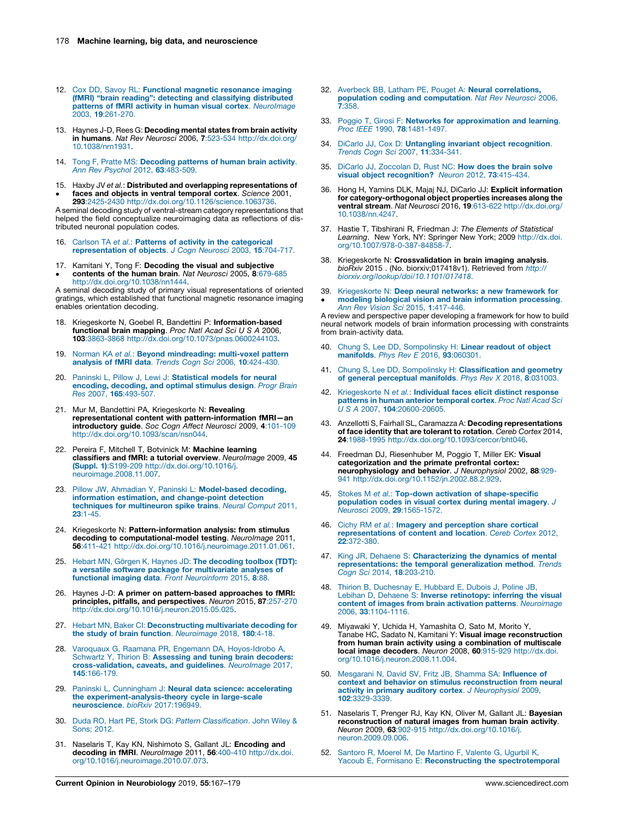- <span id="page-11-0"></span>12. Cox DD, Savoy RL: Functional magnetic [resonance](http://refhub.elsevier.com/S0959-4388(18)30100-4/sbref0060) imaging (fMRI) "brain reading": detecting and classifying [distributed](http://refhub.elsevier.com/S0959-4388(18)30100-4/sbref0060) patterns of fMRI activity in human visual cortex. [NeuroImage](http://refhub.elsevier.com/S0959-4388(18)30100-4/sbref0060) 2003, 19[:261-270.](http://refhub.elsevier.com/S0959-4388(18)30100-4/sbref0060)
- 13. Haynes J-D, Rees G: Decoding mental states from brain activity in humans. Nat Rev Neurosci 2006, 7:523-534 [http://dx.doi.org/](http://dx.doi.org/10.1038/nrn1931) [10.1038/nrn1931.](http://dx.doi.org/10.1038/nrn1931)
- 14. Tong F, Pratte MS: [Decoding](http://refhub.elsevier.com/S0959-4388(18)30100-4/sbref0070) patterns of human brain activity. Ann Rev Psychol 2012, 63[:483-509.](http://refhub.elsevier.com/S0959-4388(18)30100-4/sbref0070)
- 15. Haxby JV et al.: Distributed and overlapping representations of  $\bullet$ faces and objects in ventral temporal cortex. Science 2001,

293:2425-2430 <http://dx.doi.org/10.1126/science.1063736>. A seminal decoding study of ventral-stream category representations that helped the field conceptualize neuroimaging data as reflections of distributed neuronal population codes.

16. Carlson TA et al.: Patterns of activity in the [categorical](http://refhub.elsevier.com/S0959-4388(18)30100-4/sbref0080) [representation](http://refhub.elsevier.com/S0959-4388(18)30100-4/sbref0080) of objects. J Cogn Neurosci 2003, 15:704-717.

- 17. Kamitani Y, Tong F: Decoding the visual and subjective
- $\bullet$ **contents of the human brain**. *Nat Neurosci* 2005, **8**:679-685<br><http://dx.doi.org/10.1038/nn1444>.

A seminal decoding study of primary visual representations of oriented gratings, which established that functional magnetic resonance imaging enables orientation decoding.

- 18. Kriegeskorte N, Goebel R, Bandettini P: Information-based functional brain mapping. Proc Natl Acad Sci U S A 2006, 103:3863-3868 <http://dx.doi.org/10.1073/pnas.0600244103>.
- 19. Norman KA et al.: Beyond [mindreading:](http://refhub.elsevier.com/S0959-4388(18)30100-4/sbref0095) multi-voxel pattern analysis of fMRI data. Trends Cogn Sci 2006, 10[:424-430.](http://refhub.elsevier.com/S0959-4388(18)30100-4/sbref0095)
- 20. Paninski L, Pillow J, Lewi J: [Statistical](http://refhub.elsevier.com/S0959-4388(18)30100-4/sbref0100) models for neural encoding, [decoding,](http://refhub.elsevier.com/S0959-4388(18)30100-4/sbref0100) and optimal stimulus design. Progr Brain Res 2007, 165[:493-507.](http://refhub.elsevier.com/S0959-4388(18)30100-4/sbref0100)
- 21. Mur M, Bandettini PA, Kriegeskorte N: Revealing representational content with pattern-information fMRI—an introductory guide. Soc Cogn Affect Neurosci 2009, 4:101-109 <http://dx.doi.org/10.1093/scan/nsn044>.
- 22. Pereira F, Mitchell T, Botvinick M: Machine learning classifiers and fMRI: a tutorial overview. NeuroImage 2009, 45 (Suppl. 1):S199-209 [http://dx.doi.org/10.1016/j.](http://dx.doi.org/10.1016/j.neuroimage.2008.11.007) [neuroimage.2008.11.007](http://dx.doi.org/10.1016/j.neuroimage.2008.11.007).
- 23. Pillow JW, Ahmadian Y, Paninski L: [Model-based](http://refhub.elsevier.com/S0959-4388(18)30100-4/sbref0115) decoding, information estimation, and [change-point](http://refhub.elsevier.com/S0959-4388(18)30100-4/sbref0115) detection techniques for [multineuron](http://refhub.elsevier.com/S0959-4388(18)30100-4/sbref0115) spike trains. Neural Comput 2011, 23[:1-45.](http://refhub.elsevier.com/S0959-4388(18)30100-4/sbref0115)
- 24. Kriegeskorte N: Pattern-information analysis: from stimulus decoding to computational-model testing. NeuroImage 2011, 56:411-421 [http://dx.doi.org/10.1016/j.neuroimage.2011.01.061.](http://dx.doi.org/10.1016/j.neuroimage.2011.01.061)
- 25. Hebart MN, Görgen K, Haynes JD: The [decoding](http://refhub.elsevier.com/S0959-4388(18)30100-4/sbref0125) toolbox (TDT): a versatile software package for [multivariate](http://refhub.elsevier.com/S0959-4388(18)30100-4/sbref0125) analyses of functional imaging data. Front [Neuroinform](http://refhub.elsevier.com/S0959-4388(18)30100-4/sbref0125) 2015, 8:88.
- 26. Haynes J-D: A primer on pattern-based approaches to fMRI: principles, pitfalls, and perspectives. Neuron 2015, 87:257-270 [http://dx.doi.org/10.1016/j.neuron.2015.05.025.](http://dx.doi.org/10.1016/j.neuron.2015.05.025)
- 27. Hebart MN, Baker CI: [Deconstructing](http://refhub.elsevier.com/S0959-4388(18)30100-4/sbref0135) multivariate decoding for the study of brain function. [Neuroimage](http://refhub.elsevier.com/S0959-4388(18)30100-4/sbref0135) 2018, 180:4-18.
- 28. Varoquaux G, Raamana PR, Engemann DA, [Hoyos-Idrobo](http://refhub.elsevier.com/S0959-4388(18)30100-4/sbref0140) A, Schwartz Y, Thirion B: [Assessing](http://refhub.elsevier.com/S0959-4388(18)30100-4/sbref0140) and tuning brain decoders: [cross-validation,](http://refhub.elsevier.com/S0959-4388(18)30100-4/sbref0140) caveats, and guidelines. NeuroImage 2017, 145[:166-179.](http://refhub.elsevier.com/S0959-4388(18)30100-4/sbref0140)
- 29. Paninski L, Cunningham J: Neural data science: [accelerating](http://refhub.elsevier.com/S0959-4388(18)30100-4/sbref0145) the [experiment-analysis-theory](http://refhub.elsevier.com/S0959-4388(18)30100-4/sbref0145) cycle in large-scale [neuroscience](http://refhub.elsevier.com/S0959-4388(18)30100-4/sbref0145). bioRxiv 2017:196949.
- 30. Duda RO, Hart PE, Stork DG: Pattern [Classification](http://refhub.elsevier.com/S0959-4388(18)30100-4/sbref0150). John Wiley & [Sons;](http://refhub.elsevier.com/S0959-4388(18)30100-4/sbref0150) 2012.
- 31. Naselaris T, Kay KN, Nishimoto S, Gallant JL: Encoding and decoding in fMRI. NeuroImage 2011, 56:400-410 [http://dx.doi.](http://dx.doi.org/10.1016/j.neuroimage.2010.07.073) [org/10.1016/j.neuroimage.2010.07.073.](http://dx.doi.org/10.1016/j.neuroimage.2010.07.073)
- 32. Averbeck BB, Latham PE, Pouget A: Neural [correlations,](http://refhub.elsevier.com/S0959-4388(18)30100-4/sbref0160) population coding and [computation](http://refhub.elsevier.com/S0959-4388(18)30100-4/sbref0160). Nat Rev Neurosci 2006, 7[:358.](http://refhub.elsevier.com/S0959-4388(18)30100-4/sbref0160)
- 33. Poggio T, Girosi F: Networks for [approximation](http://refhub.elsevier.com/S0959-4388(18)30100-4/sbref0165) and learning. Proc IEEE 1990, 78[:1481-1497.](http://refhub.elsevier.com/S0959-4388(18)30100-4/sbref0165)
- 34. DiCarlo JJ, Cox D: Untangling invariant object [recognition](http://refhub.elsevier.com/S0959-4388(18)30100-4/sbref0170). Trends Cogn Sci 2007, 11[:334-341.](http://refhub.elsevier.com/S0959-4388(18)30100-4/sbref0170)
- 35. DiCarlo JJ, [Zoccolan](http://refhub.elsevier.com/S0959-4388(18)30100-4/sbref0175) D, Rust NC: How does the brain solve visual object [recognition?](http://refhub.elsevier.com/S0959-4388(18)30100-4/sbref0175) Neuron 2012, 73:415-434.
- 36. Hong H, Yamins DLK, Majaj NJ, DiCarlo JJ: Explicit information for category-orthogonal object properties increases along the ventral stream. Nat Neurosci 2016, 19:613-622 [http://dx.doi.org/](http://dx.doi.org/10.1038/nn.4247) [10.1038/nn.4247.](http://dx.doi.org/10.1038/nn.4247)
- 37. Hastie T, Tibshirani R, Friedman J: The Elements of Statistical Learning. New York, NY: Springer New York; 2009 [http://dx.doi.](http://dx.doi.org/10.1007/978-0-387-84858-7) [org/10.1007/978-0-387-84858-7.](http://dx.doi.org/10.1007/978-0-387-84858-7)
- 38. Kriegeskorte N: Crossvalidation in brain imaging analysis. bioRxiv 2015 . (No. biorxiv;017418v1). Retrieved from [http://](http://biorxiv.org/lookup/doi/10.1101/017418) [biorxiv.org/lookup/doi/10.1101/017418](http://biorxiv.org/lookup/doi/10.1101/017418).
- 39. [Kriegeskorte](http://refhub.elsevier.com/S0959-4388(18)30100-4/sbref0195) N: Deep neural networks: a new framework for  $\cdot$ modeling biological vision and brain [information](http://refhub.elsevier.com/S0959-4388(18)30100-4/sbref0195) processing. Ann Rev Vision Sci 2015, 1[:417-446.](http://refhub.elsevier.com/S0959-4388(18)30100-4/sbref0195)

A review and perspective paper developing a framework for how to build neural network models of brain information processing with constraints from brain-activity data.

- 40. Chung S, Lee DD, [Sompolinsky](http://refhub.elsevier.com/S0959-4388(18)30100-4/sbref0200) H: Linear readout of object [manifolds](http://refhub.elsevier.com/S0959-4388(18)30100-4/sbref0200). Phys Rev E 2016, 93:060301.
- 41. Chung S, Lee DD, Sompolinsky H: [Classification](http://refhub.elsevier.com/S0959-4388(18)30100-4/sbref0205) and geometry of general [perceptual](http://refhub.elsevier.com/S0959-4388(18)30100-4/sbref0205) manifolds. Phys Rev X 2018, 8:031003.
- 42. [Kriegeskorte](http://refhub.elsevier.com/S0959-4388(18)30100-4/sbref0210) N et al.: Individual faces elicit distinct response patterns in human anterior [temporal](http://refhub.elsevier.com/S0959-4388(18)30100-4/sbref0210) cortex. Proc Natl Acad Sci U S A 2007, 104[:20600-20605.](http://refhub.elsevier.com/S0959-4388(18)30100-4/sbref0210)
- 43. Anzellotti S, Fairhall SL, Caramazza A: Decoding representations of face identity that are tolerant to rotation. Cereb Cortex 2014, 24:1988-1995 [http://dx.doi.org/10.1093/cercor/bht046.](http://dx.doi.org/10.1093/cercor/bht046)
- 44. Freedman DJ, Riesenhuber M, Poggio T, Miller EK: Visual categorization and the primate prefrontal cortex: neurophysiology and behavior. J Neurophysiol 2002, 88:929- 941 <http://dx.doi.org/10.1152/jn.2002.88.2.929>.
- 45. Stokes M et al.: Top-down activation of [shape-specific](http://refhub.elsevier.com/S0959-4388(18)30100-4/sbref0225) [population](http://refhub.elsevier.com/S0959-4388(18)30100-4/sbref0225) codes in visual cortex during mental imagery. J Neurosci 2009, 29[:1565-1572.](http://refhub.elsevier.com/S0959-4388(18)30100-4/sbref0225)
- 46. Cichy RM et al.: Imagery and [perception](http://refhub.elsevier.com/S0959-4388(18)30100-4/sbref0230) share cortical [representations](http://refhub.elsevier.com/S0959-4388(18)30100-4/sbref0230) of content and location. Cereb Cortex 2012, 22[:372-380.](http://refhub.elsevier.com/S0959-4388(18)30100-4/sbref0230)
- 47. King JR, Dehaene S: [Characterizing](http://refhub.elsevier.com/S0959-4388(18)30100-4/sbref0235) the dynamics of mental [representations:](http://refhub.elsevier.com/S0959-4388(18)30100-4/sbref0235) the temporal generalization method. Trends Cogn Sci 2014, 18[:203-210.](http://refhub.elsevier.com/S0959-4388(18)30100-4/sbref0235)
- 48. Thirion B, [Duchesnay](http://refhub.elsevier.com/S0959-4388(18)30100-4/sbref0240) E, Hubbard E, Dubois J, Poline JB, Lebihan D, Dehaene S: Inverse [retinotopy:](http://refhub.elsevier.com/S0959-4388(18)30100-4/sbref0240) inferring the visual content of images from brain activation patterns. [Neuroimage](http://refhub.elsevier.com/S0959-4388(18)30100-4/sbref0240) 2006, 33[:1104-1116.](http://refhub.elsevier.com/S0959-4388(18)30100-4/sbref0240)
- 49. Miyawaki Y, Uchida H, Yamashita O, Sato M, Morito Y,<br>Tanabe HC, Sadato N, Kamitani Y: **Visual image reconstruction** from human brain activity using a combination of multiscale local image decoders. Neuron 2008, 60:915-929 [http://dx.doi.](http://dx.doi.org/10.1016/j.neuron.2008.11.004) [org/10.1016/j.neuron.2008.11.004.](http://dx.doi.org/10.1016/j.neuron.2008.11.004)
- 50. [Mesgarani](http://refhub.elsevier.com/S0959-4388(18)30100-4/sbref0250) N, David SV, Fritz JB, Shamma SA: Influence of context and behavior on stimulus [reconstruction](http://refhub.elsevier.com/S0959-4388(18)30100-4/sbref0250) from neural activity in primary auditory cortex. J [Neurophysiol](http://refhub.elsevier.com/S0959-4388(18)30100-4/sbref0250) 2009, 102[:3329-3339.](http://refhub.elsevier.com/S0959-4388(18)30100-4/sbref0250)
- 51. Naselaris T, Prenger RJ, Kay KN, Oliver M, Gallant JL: Bayesian **reconstruction of natural images from human brain activity**.<br>*Neuron* 2009, **63**:902-915 [http://dx.doi.org/10.1016/j.](http://dx.doi.org/10.1016/j.neuron.2009.09.006) [neuron.2009.09.006](http://dx.doi.org/10.1016/j.neuron.2009.09.006).
- 52. [Santoro](http://refhub.elsevier.com/S0959-4388(18)30100-4/sbref0260) R, Moerel M, De Martino F, Valente G, Ugurbil K, Yacoub E, Formisano E: Reconstructing the [spectrotemporal](http://refhub.elsevier.com/S0959-4388(18)30100-4/sbref0260)